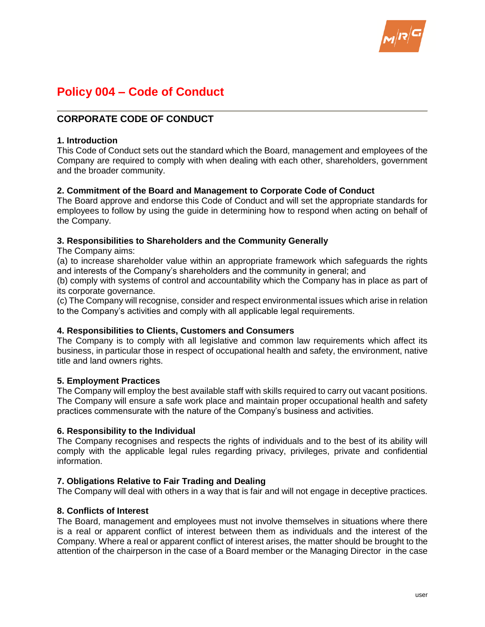

# **Policy 004 – Code of Conduct**

# **CORPORATE CODE OF CONDUCT**

### **1. Introduction**

This Code of Conduct sets out the standard which the Board, management and employees of the Company are required to comply with when dealing with each other, shareholders, government and the broader community.

### **2. Commitment of the Board and Management to Corporate Code of Conduct**

The Board approve and endorse this Code of Conduct and will set the appropriate standards for employees to follow by using the guide in determining how to respond when acting on behalf of the Company.

### **3. Responsibilities to Shareholders and the Community Generally**

The Company aims:

(a) to increase shareholder value within an appropriate framework which safeguards the rights and interests of the Company's shareholders and the community in general; and

(b) comply with systems of control and accountability which the Company has in place as part of its corporate governance.

(c) The Company will recognise, consider and respect environmental issues which arise in relation to the Company's activities and comply with all applicable legal requirements.

### **4. Responsibilities to Clients, Customers and Consumers**

The Company is to comply with all legislative and common law requirements which affect its business, in particular those in respect of occupational health and safety, the environment, native title and land owners rights.

### **5. Employment Practices**

The Company will employ the best available staff with skills required to carry out vacant positions. The Company will ensure a safe work place and maintain proper occupational health and safety practices commensurate with the nature of the Company's business and activities.

### **6. Responsibility to the Individual**

The Company recognises and respects the rights of individuals and to the best of its ability will comply with the applicable legal rules regarding privacy, privileges, private and confidential information.

### **7. Obligations Relative to Fair Trading and Dealing**

The Company will deal with others in a way that is fair and will not engage in deceptive practices.

### **8. Conflicts of Interest**

The Board, management and employees must not involve themselves in situations where there is a real or apparent conflict of interest between them as individuals and the interest of the Company. Where a real or apparent conflict of interest arises, the matter should be brought to the attention of the chairperson in the case of a Board member or the Managing Director in the case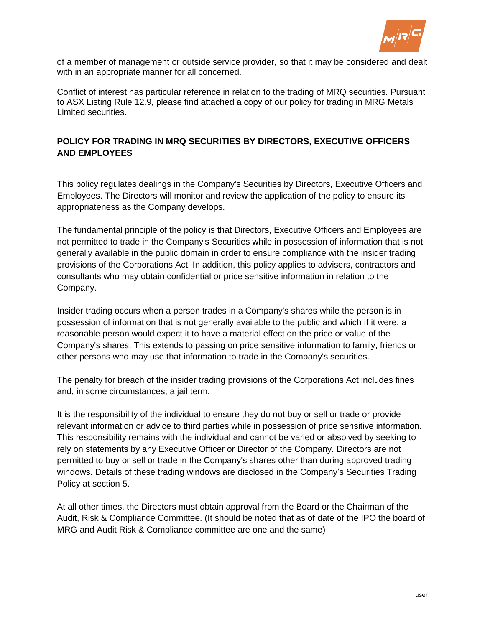

of a member of management or outside service provider, so that it may be considered and dealt with in an appropriate manner for all concerned.

Conflict of interest has particular reference in relation to the trading of MRQ securities. Pursuant to ASX Listing Rule 12.9, please find attached a copy of our policy for trading in MRG Metals Limited securities.

# **POLICY FOR TRADING IN MRQ SECURITIES BY DIRECTORS, EXECUTIVE OFFICERS AND EMPLOYEES**

This policy regulates dealings in the Company's Securities by Directors, Executive Officers and Employees. The Directors will monitor and review the application of the policy to ensure its appropriateness as the Company develops.

The fundamental principle of the policy is that Directors, Executive Officers and Employees are not permitted to trade in the Company's Securities while in possession of information that is not generally available in the public domain in order to ensure compliance with the insider trading provisions of the Corporations Act. In addition, this policy applies to advisers, contractors and consultants who may obtain confidential or price sensitive information in relation to the Company.

Insider trading occurs when a person trades in a Company's shares while the person is in possession of information that is not generally available to the public and which if it were, a reasonable person would expect it to have a material effect on the price or value of the Company's shares. This extends to passing on price sensitive information to family, friends or other persons who may use that information to trade in the Company's securities.

The penalty for breach of the insider trading provisions of the Corporations Act includes fines and, in some circumstances, a jail term.

It is the responsibility of the individual to ensure they do not buy or sell or trade or provide relevant information or advice to third parties while in possession of price sensitive information. This responsibility remains with the individual and cannot be varied or absolved by seeking to rely on statements by any Executive Officer or Director of the Company. Directors are not permitted to buy or sell or trade in the Company's shares other than during approved trading windows. Details of these trading windows are disclosed in the Company's Securities Trading Policy at section 5.

At all other times, the Directors must obtain approval from the Board or the Chairman of the Audit, Risk & Compliance Committee. (It should be noted that as of date of the IPO the board of MRG and Audit Risk & Compliance committee are one and the same)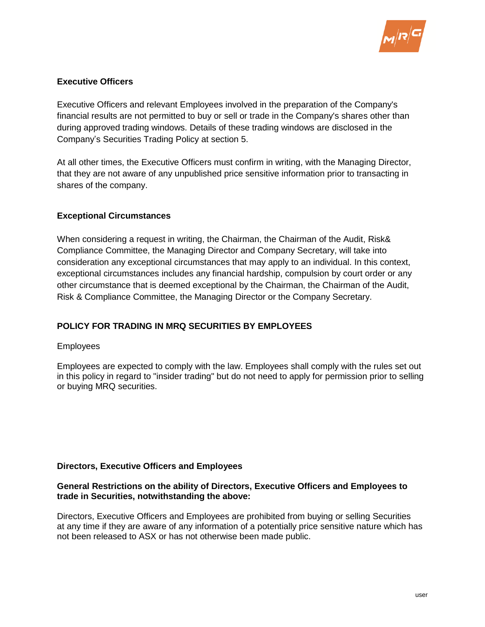

# **Executive Officers**

Executive Officers and relevant Employees involved in the preparation of the Company's financial results are not permitted to buy or sell or trade in the Company's shares other than during approved trading windows. Details of these trading windows are disclosed in the Company's Securities Trading Policy at section 5.

At all other times, the Executive Officers must confirm in writing, with the Managing Director, that they are not aware of any unpublished price sensitive information prior to transacting in shares of the company.

# **Exceptional Circumstances**

When considering a request in writing, the Chairman, the Chairman of the Audit, Risk& Compliance Committee, the Managing Director and Company Secretary, will take into consideration any exceptional circumstances that may apply to an individual. In this context, exceptional circumstances includes any financial hardship, compulsion by court order or any other circumstance that is deemed exceptional by the Chairman, the Chairman of the Audit, Risk & Compliance Committee, the Managing Director or the Company Secretary.

# **POLICY FOR TRADING IN MRQ SECURITIES BY EMPLOYEES**

### Employees

Employees are expected to comply with the law. Employees shall comply with the rules set out in this policy in regard to "insider trading" but do not need to apply for permission prior to selling or buying MRQ securities.

### **Directors, Executive Officers and Employees**

### **General Restrictions on the ability of Directors, Executive Officers and Employees to trade in Securities, notwithstanding the above:**

Directors, Executive Officers and Employees are prohibited from buying or selling Securities at any time if they are aware of any information of a potentially price sensitive nature which has not been released to ASX or has not otherwise been made public.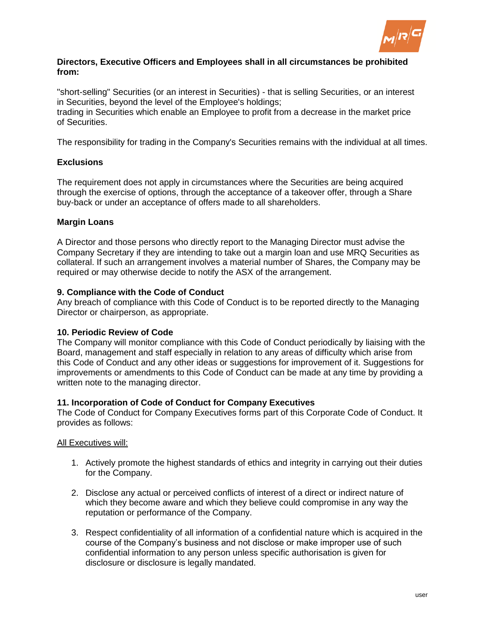

### **Directors, Executive Officers and Employees shall in all circumstances be prohibited from:**

"short-selling" Securities (or an interest in Securities) - that is selling Securities, or an interest in Securities, beyond the level of the Employee's holdings; trading in Securities which enable an Employee to profit from a decrease in the market price of Securities.

The responsibility for trading in the Company's Securities remains with the individual at all times.

# **Exclusions**

The requirement does not apply in circumstances where the Securities are being acquired through the exercise of options, through the acceptance of a takeover offer, through a Share buy-back or under an acceptance of offers made to all shareholders.

### **Margin Loans**

A Director and those persons who directly report to the Managing Director must advise the Company Secretary if they are intending to take out a margin loan and use MRQ Securities as collateral. If such an arrangement involves a material number of Shares, the Company may be required or may otherwise decide to notify the ASX of the arrangement.

### **9. Compliance with the Code of Conduct**

Any breach of compliance with this Code of Conduct is to be reported directly to the Managing Director or chairperson, as appropriate.

### **10. Periodic Review of Code**

The Company will monitor compliance with this Code of Conduct periodically by liaising with the Board, management and staff especially in relation to any areas of difficulty which arise from this Code of Conduct and any other ideas or suggestions for improvement of it. Suggestions for improvements or amendments to this Code of Conduct can be made at any time by providing a written note to the managing director.

### **11. Incorporation of Code of Conduct for Company Executives**

The Code of Conduct for Company Executives forms part of this Corporate Code of Conduct. It provides as follows:

### All Executives will:

- 1. Actively promote the highest standards of ethics and integrity in carrying out their duties for the Company.
- 2. Disclose any actual or perceived conflicts of interest of a direct or indirect nature of which they become aware and which they believe could compromise in any way the reputation or performance of the Company.
- 3. Respect confidentiality of all information of a confidential nature which is acquired in the course of the Company's business and not disclose or make improper use of such confidential information to any person unless specific authorisation is given for disclosure or disclosure is legally mandated.